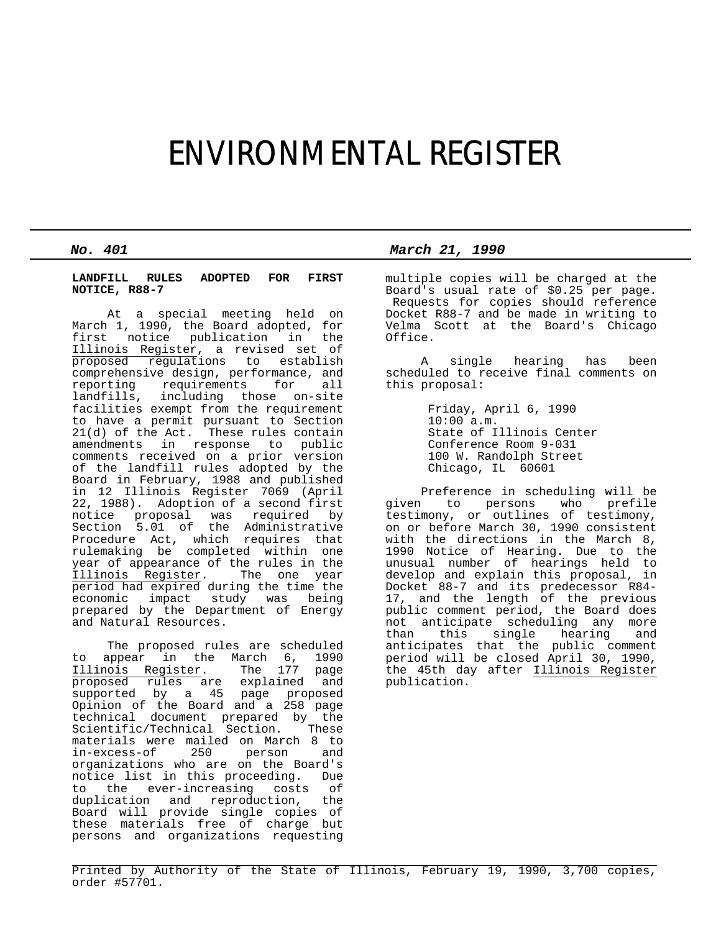# ENVIRONMENTAL REGISTER

## **LANDFILL RULES ADOPTED FOR FIRST NOTICE, R88-7**

 At a special meeting held on March 1, 1990, the Board adopted, for first notice publication in the Illinois Register, a revised set of proposed regulations to establish comprehensive design, performance, and reporting requirements for all landfills, including those on-site facilities exempt from the requirement to have a permit pursuant to Section 21(d) of the Act. These rules contain amendments in response to public comments received on a prior version of the landfill rules adopted by the Board in February, 1988 and published in 12 Illinois Register 7069 (April 22, 1988). Adoption of a second first notice proposal was required by Section 5.01 of the Administrative Procedure Act, which requires that rulemaking be completed within one year of appearance of the rules in the Illinois Register. The one year period had expired during the time the economic impact study was being prepared by the Department of Energy and Natural Resources.

 The proposed rules are scheduled to appear in the March 6, 1990<br>Illinois Register. The 177 page Illinois Register. The 177 page proposed rules are explained and supported by a 45 page proposed Opinion of the Board and a 258 page technical document prepared by the Scientific/Technical Section. These materials were mailed on March 8 to<br>in-excess-of 250 person and 250 person organizations who are on the Board's notice list in this proceeding. Due to the ever-increasing costs of duplication and reproduction, the Board will provide single copies of these materials free of charge but persons and organizations requesting

*No. 401 March 21, 1990*

multiple copies will be charged at the Board's usual rate of \$0.25 per page. Requests for copies should reference Docket R88-7 and be made in writing to Velma Scott at the Board's Chicago Office.

 A single hearing has been scheduled to receive final comments on this proposal:

> Friday, April 6, 1990 10:00 a.m. State of Illinois Center Conference Room 9-031 100 W. Randolph Street Chicago, IL 60601

 Preference in scheduling will be given to persons who prefile testimony, or outlines of testimony, on or before March 30, 1990 consistent with the directions in the March 8, 1990 Notice of Hearing. Due to the unusual number of hearings held to develop and explain this proposal, in Docket 88-7 and its predecessor R84- 17, and the length of the previous public comment period, the Board does not anticipate scheduling any more<br>than this single hearing and than this single hearing anticipates that the public comment period will be closed April 30, 1990, the 45th day after Illinois Register publication.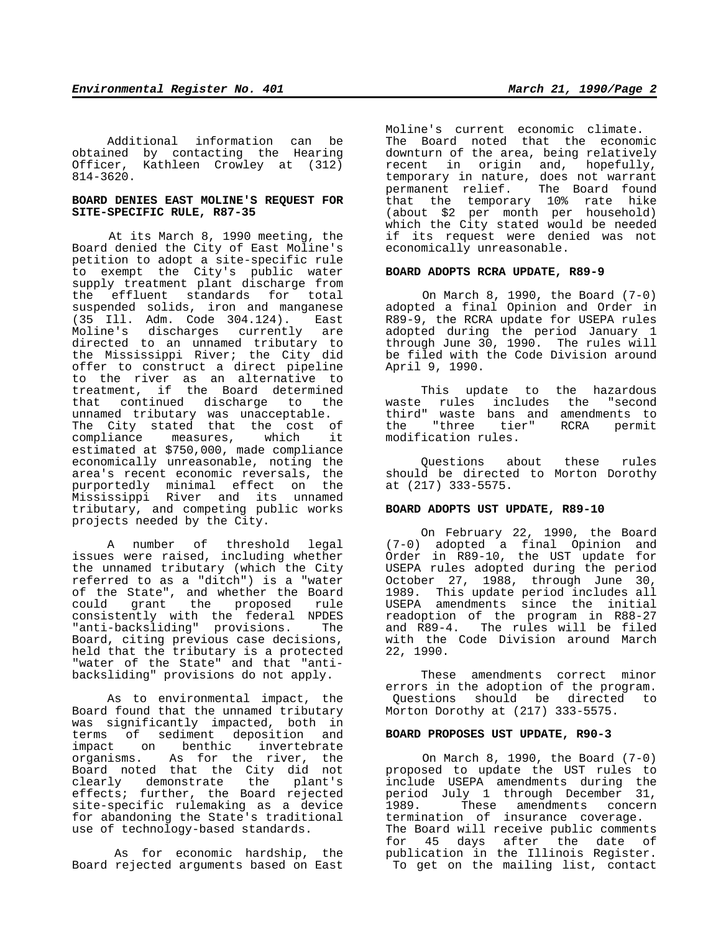Additional information can be obtained by contacting the Hearing Officer, Kathleen Crowley at (312) 814-3620.

# **BOARD DENIES EAST MOLINE'S REQUEST FOR SITE-SPECIFIC RULE, R87-35**

 At its March 8, 1990 meeting, the Board denied the City of East Moline's petition to adopt a site-specific rule to exempt the City's public water supply treatment plant discharge from the effluent standards for total suspended solids, iron and manganese (35 Ill. Adm. Code 304.124). East Moline's discharges currently are directed to an unnamed tributary to the Mississippi River; the City did offer to construct a direct pipeline to the river as an alternative to treatment, if the Board determined that continued discharge to the unnamed tributary was unacceptable. The City stated that the cost of compliance measures, which it estimated at \$750,000, made compliance economically unreasonable, noting the area's recent economic reversals, the purportedly minimal effect on the Mississippi River and its unnamed tributary, and competing public works projects needed by the City.

 A number of threshold legal issues were raised, including whether the unnamed tributary (which the City referred to as a "ditch") is a "water of the State", and whether the Board could grant the proposed rule consistently with the federal NPDES "anti-backsliding" provisions. The Board, citing previous case decisions, held that the tributary is a protected "water of the State" and that "antibacksliding" provisions do not apply.

 As to environmental impact, the Board found that the unnamed tributary was significantly impacted, both in terms of sediment deposition and impact on benthic invertebrate organisms. As for the river, the Board noted that the City did not clearly demonstrate the plant's effects; further, the Board rejected site-specific rulemaking as a device for abandoning the State's traditional use of technology-based standards.

As for economic hardship, the Board rejected arguments based on East

Moline's current economic climate. The Board noted that the economic downturn of the area, being relatively recent in origin and, hopefully, temporary in nature, does not warrant permanent relief. The Board found that the temporary 10% rate hike (about \$2 per month per household) which the City stated would be needed if its request were denied was not economically unreasonable.

# **BOARD ADOPTS RCRA UPDATE, R89-9**

 On March 8, 1990, the Board (7-0) adopted a final Opinion and Order in R89-9, the RCRA update for USEPA rules adopted during the period January 1 through June 30, 1990. The rules will be filed with the Code Division around April 9, 1990.

 This update to the hazardous waste rules includes the "second third" waste bans and amendments to<br>the "three tier" RCRA permit the "three tier" modification rules.

 Questions about these rules should be directed to Morton Dorothy at (217) 333-5575.

#### **BOARD ADOPTS UST UPDATE, R89-10**

 On February 22, 1990, the Board (7-0) adopted a final Opinion and Order in R89-10, the UST update for USEPA rules adopted during the period October 27, 1988, through June 30, 1989. This update period includes all USEPA amendments since the initial readoption of the program in R88-27 and R89-4. The rules will be filed with the Code Division around March 22, 1990.

 These amendments correct minor errors in the adoption of the program. Questions should be directed to Morton Dorothy at (217) 333-5575.

### **BOARD PROPOSES UST UPDATE, R90-3**

 On March 8, 1990, the Board (7-0) proposed to update the UST rules to include USEPA amendments during the period July 1 through December 31, 1989. These amendments concern termination of insurance coverage. The Board will receive public comments for 45 days after the date of publication in the Illinois Register. To get on the mailing list, contact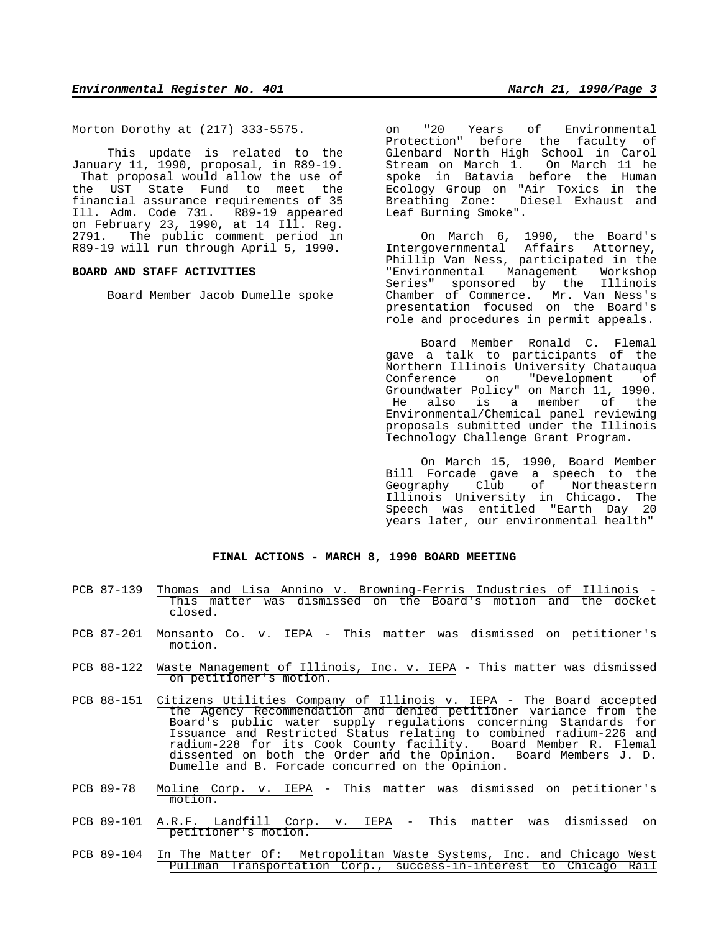Morton Dorothy at (217) 333-5575.

 This update is related to the January 11, 1990, proposal, in R89-19. That proposal would allow the use of the UST State Fund to meet the financial assurance requirements of 35 Ill. Adm. Code 731. R89-19 appeared on February 23, 1990, at 14 Ill. Reg. 2791. The public comment period in R89-19 will run through April 5, 1990.

### **BOARD AND STAFF ACTIVITIES**

Board Member Jacob Dumelle spoke

on "20 Years of Environmental Protection" before the faculty of Glenbard North High School in Carol Stream on March 1. On March 11 he spoke in Batavia before the Human Ecology Group on "Air Toxics in the Breathing Zone: Diesel Exhaust and Leaf Burning Smoke".

 On March 6, 1990, the Board's Intergovernmental Affairs Attorney, Phillip Van Ness, participated in the "Environmental Management Workshop Series" sponsored by the Illinois Chamber of Commerce. Mr. Van Ness's presentation focused on the Board's role and procedures in permit appeals.

 Board Member Ronald C. Flemal gave a talk to participants of the Northern Illinois University Chatauqua on "Development of Groundwater Policy" on March 11, 1990. He also is a member of the Environmental/Chemical panel reviewing proposals submitted under the Illinois Technology Challenge Grant Program.

 On March 15, 1990, Board Member Bill Forcade gave a speech to the Geography Club of Northeastern Illinois University in Chicago. The Speech was entitled "Earth Day 20 years later, our environmental health"

# **FINAL ACTIONS - MARCH 8, 1990 BOARD MEETING**

- PCB 87-139 Thomas and Lisa Annino v. Browning-Ferris Industries of Illinois This matter was dismissed on the Board's motion and the docket closed.
- PCB 87-201 Monsanto Co. v. IEPA This matter was dismissed on petitioner's motion.
- PCB 88-122 Waste Management of Illinois, Inc. v. IEPA This matter was dismissed on petitioner's motion.
- PCB 88-151 Citizens Utilities Company of Illinois v. IEPA The Board accepted the Agency Recommendation and denied petitioner variance from the Board's public water supply regulations concerning Standards for Issuance and Restricted Status relating to combined radium-226 and radium-228 for its Cook County facility. Board Member R. Flemal dissented on both the Order and the Opinion. Board Members J. D. Dumelle and B. Forcade concurred on the Opinion.
- PCB 89-78 Moline Corp. v. IEPA This matter was dismissed on petitioner's motion.
- PCB 89-101 A.R.F. Landfill Corp. v. IEPA This matter was dismissed on petitioner's motion.
- PCB 89-104 In The Matter Of: Metropolitan Waste Systems, Inc. and Chicago West Pullman Transportation Corp., success-in-interest to Chicago Rail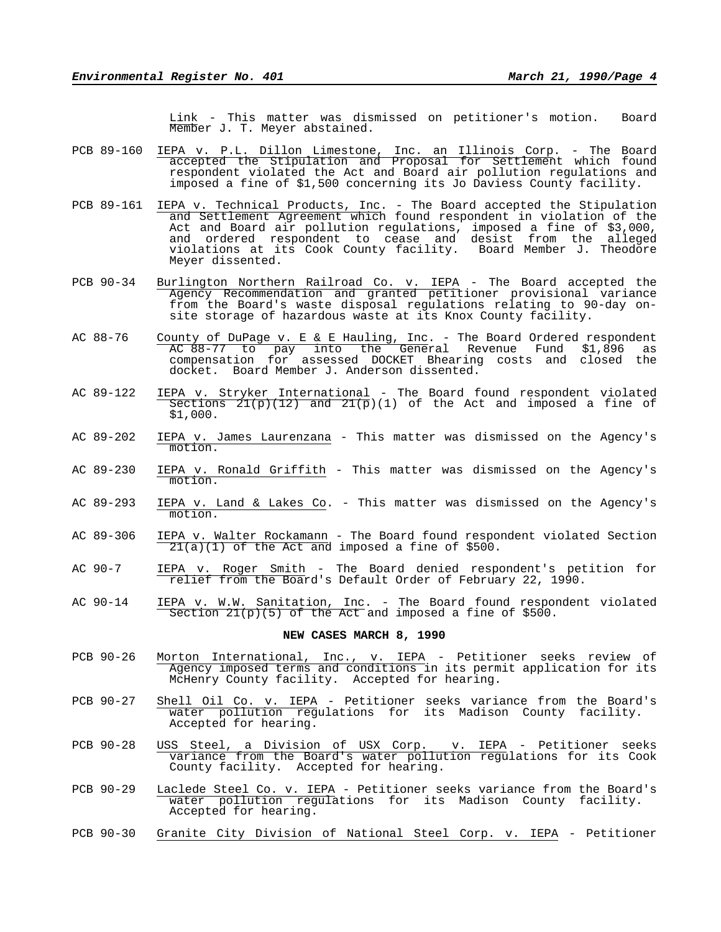Link - This matter was dismissed on petitioner's motion. Board Member J. T. Meyer abstained.

- PCB 89-160 IEPA v. P.L. Dillon Limestone, Inc. an Illinois Corp. The Board accepted the Stipulation and Proposal for Settlement which found respondent violated the Act and Board air pollution regulations and imposed a fine of \$1,500 concerning its Jo Daviess County facility.
- PCB 89-161 IEPA v. Technical Products, Inc. The Board accepted the Stipulation and Settlement Agreement which found respondent in violation of the Act and Board air pollution regulations, imposed a fine of \$3,000, and ordered respondent to cease and desist from the alleged violations at its Cook County facility. Board Member J. Theodore Meyer dissented.
- PCB 90-34 Burlington Northern Railroad Co. v. IEPA The Board accepted the Agency Recommendation and granted petitioner provisional variance from the Board's waste disposal regulations relating to 90-day onsite storage of hazardous waste at its Knox County facility.
- AC 88-76 County of DuPage v. E & E Hauling, Inc. The Board Ordered respondent AC 88-77 to pay into the General Revenue Fund \$1,896 as compensation for assessed DOCKET Bhearing costs and closed the docket. Board Member J. Anderson dissented.
- AC 89-122 IEPA v. Stryker International The Board found respondent violated Sections  $2I(p)(12)$  and  $2I(p)(1)$  of the Act and imposed a fine of \$1,000.
- AC 89-202 IEPA v. James Laurenzana This matter was dismissed on the Agency's motion.
- AC 89-230 IEPA v. Ronald Griffith This matter was dismissed on the Agency's motion.
- AC 89-293 IEPA v. Land & Lakes Co. This matter was dismissed on the Agency's motion.
- AC 89-306 IEPA v. Walter Rockamann The Board found respondent violated Section  $21(a)(1)$  of the Act and imposed a fine of \$500.
- AC 90-7 IEPA v. Roger Smith The Board denied respondent's petition for relief from the Board's Default Order of February 22, 1990.
- AC 90-14 IEPA v. W.W. Sanitation, Inc. The Board found respondent violated Section 21(p)(5) of the Act and imposed a fine of \$500.

### **NEW CASES MARCH 8, 1990**

- PCB 90-26 Morton International, Inc., v. IEPA Petitioner seeks review of Agency imposed terms and conditions in its permit application for its McHenry County facility. Accepted for hearing.
- PCB 90-27 Shell Oil Co. v. IEPA Petitioner seeks variance from the Board's water pollution regulations for its Madison County facility. Accepted for hearing.
- PCB 90-28 USS Steel, a Division of USX Corp. v. IEPA Petitioner seeks variance from the Board's water pollution regulations for its Cook County facility. Accepted for hearing.
- PCB 90-29 Laclede Steel Co. v. IEPA Petitioner seeks variance from the Board's water pollution regulations for its Madison County facility. Accepted for hearing.
- PCB 90-30 Granite City Division of National Steel Corp. v. IEPA Petitioner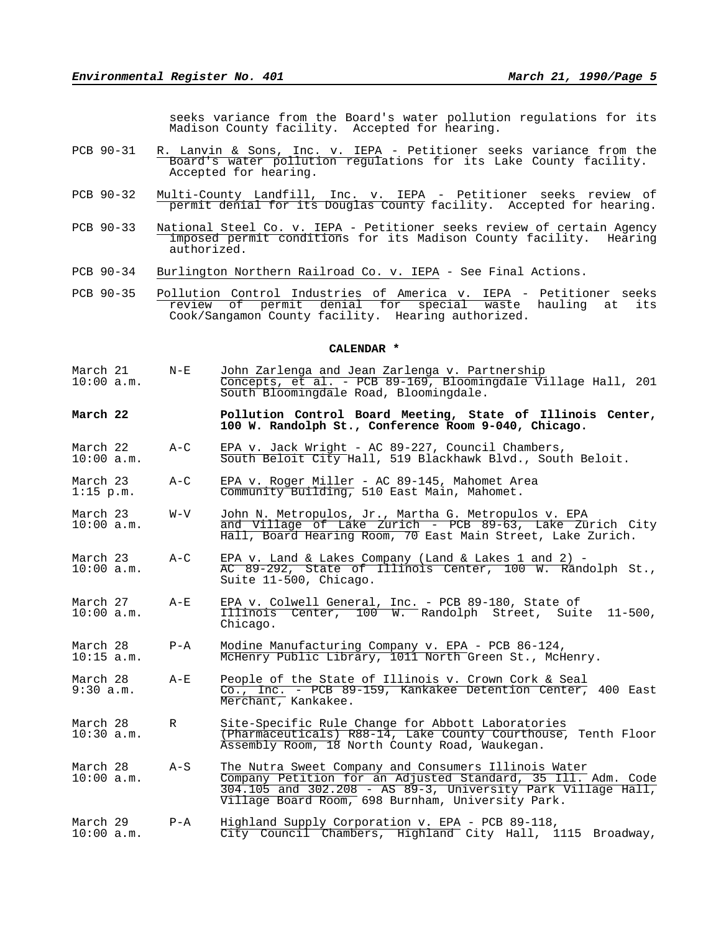seeks variance from the Board's water pollution regulations for its Madison County facility. Accepted for hearing.

- PCB 90-31 R. Lanvin & Sons, Inc. v. IEPA Petitioner seeks variance from the Board's water pollution regulations for its Lake County facility. Accepted for hearing.
- PCB 90-32 Multi-County Landfill, Inc. v. IEPA Petitioner seeks review of permit denial for its Douglas County facility. Accepted for hearing.
- PCB 90-33 National Steel Co. v. IEPA Petitioner seeks review of certain Agency imposed permit conditions for its Madison County facility. Hearing authorized.
- PCB 90-34 Burlington Northern Railroad Co. v. IEPA See Final Actions.
- PCB 90-35 Pollution Control Industries of America v. IEPA Petitioner seeks review of permit denial for special waste hauling at its Cook/Sangamon County facility. Hearing authorized.

**CALENDAR \***

- March 21 N-E John Zarlenga and Jean Zarlenga v. Partnership<br>10:00 a.m. Concepts, et al. PCB 89-169, Bloomingdale Vi 10:00 a.m. Concepts, et al. - PCB 89-169, Bloomingdale Village Hall, 201 South Bloomingdale Road, Bloomingdale.
- **March 22 Pollution Control Board Meeting, State of Illinois Center, 100 W. Randolph St., Conference Room 9-040, Chicago.**
- March 22 A-C EPA v. Jack Wright AC 89-227, Council Chambers, 10:00 a.m. South Beloit City Hall, 519 Blackhawk Blvd., South Beloit.
- March 23 A-C EPA v. Roger Miller AC 89-145, Mahomet Area 1:15 p.m. Community Building, 510 East Main, Mahomet.
- March 23 W-V John N. Metropulos, Jr., Martha G. Metropulos v. EPA 10:00 a.m. and Village of Lake Zurich - PCB 89-63, Lake Zurich City Hall, Board Hearing Room, 70 East Main Street, Lake Zurich.
- March 23 A-C EPA v. Land & Lakes Company (Land & Lakes 1 and 2)  $10:00$  a.m.<br> $\overline{AC}$  89-292, State of Illinois Center, 100 W. Rang 10:00 a.m. AC 89-292, State of Illinois Center, 100 W. Randolph St., Suite 11-500, Chicago.
- March 27 A-E EPA v. Colwell General, Inc. PCB 89-180, State of 10:00 a.m. Illinois Center, 100 W. Randolph Street, Suite 11-500, Chicago.
- March 28 P-A Modine Manufacturing Company v. EPA PCB 86-124, 10:15 a.m. McHenry Public Library, 1011 North Green St., McHenry.
- March 28 A-E People of the State of Illinois v. Crown Cork & Seal 9:30 a.m. Co., Inc. - PCB 89-159, Kankakee Detention Center, 400 East Merchant, Kankakee.
- March 28 R Site-Specific Rule Change for Abbott Laboratories<br>10:30 a.m. (Pharmaceuticals) R88-14, Lake County Courthouse, 10:30 a.m. (Pharmaceuticals) R88-14, Lake County Courthouse, Tenth Floor Assembly Room, 18 North County Road, Waukegan.
- March 28 A-S The Nutra Sweet Company and Consumers Illinois Water 10:00 a.m. Company Petition for an Adjusted Standard, 35 Ill. Adm. Code 304.105 and 302.208 - AS 89-3, University Park Village Hall, Village Board Room, 698 Burnham, University Park.
- March 29 P-A Highland Supply Corporation v. EPA PCB 89-118, 10:00 a.m. City Council Chambers, Highland City Hall, 1115 Broadway,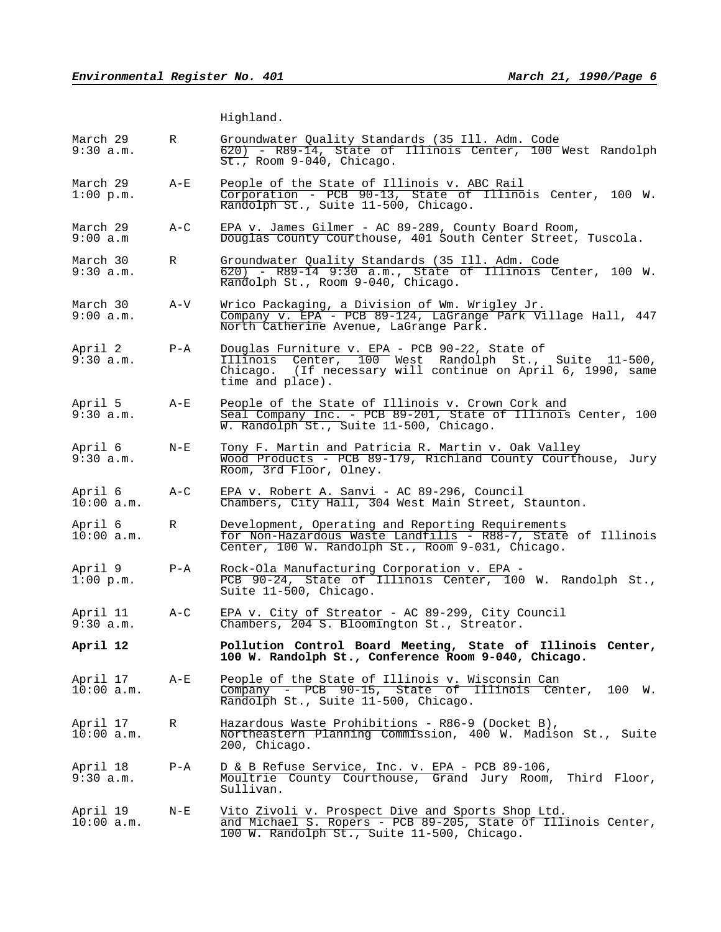Highland.

| March 29<br>9:30 a.m.    | R       | Groundwater Quality Standards (35 Ill. Adm. Code<br>620) - R89-14, State of Illinois Center, 100 West Randolph<br>$\overline{\text{St.}}$ , Room 9-040, Chicago.                           |
|--------------------------|---------|--------------------------------------------------------------------------------------------------------------------------------------------------------------------------------------------|
| March 29<br>$1:00$ p.m.  | $A - E$ | People of the State of Illinois v. ABC Rail<br>Corporation - PCB 90-13, State of Illinois Center, 100 W.<br>Randolph St., Suite 11-500, Chicago.                                           |
| March 29<br>9:00 a.m     | $A-C$   | EPA v. James Gilmer - AC 89-289, County Board Room,<br>Douglas County Courthouse, 401 South Center Street, Tuscola.                                                                        |
| March 30<br>9:30 a.m.    | R       | Groundwater Quality Standards (35 Ill. Adm. Code<br>620) - R89-14 9:30 a.m., State of Illinois Center, 100 W.<br>Randolph St., Room 9-040, Chicago.                                        |
| March 30<br>9:00 a.m.    | A-V     | Wrico Packaging, a Division of Wm. Wrigley Jr.<br>Company v. EPA - PCB 89-124, LaGrange Park Village Hall, 447<br>North Catherine Avenue, LaGrange Park.                                   |
| April 2<br>9:30 a.m.     | $P - A$ | Douglas Furniture v. EPA - PCB 90-22, State of<br>Illinois Center, 100 West Randolph St., Suite 11-500,<br>Chicago. (If necessary will continue on April 6, 1990, same<br>time and place). |
| April 5<br>9:30 a.m.     | $A - E$ | People of the State of Illinois v. Crown Cork and<br>Seal Company Inc. - PCB 89-201, State of Illinois Center, 100<br>W. Randolph St., Suite 11-500, Chicago.                              |
| April 6<br>9:30 a.m.     | $N - E$ | Tony F. Martin and Patricia R. Martin v. Oak Valley<br>Wood Products - PCB 89-179, Richland County Courthouse, Jury<br>Room, 3rd Floor, Olney.                                             |
| April 6<br>$10:00$ a.m.  | $A-C$   | EPA v. Robert A. Sanvi - AC 89-296, Council<br>Chambers, City Hall, 304 West Main Street, Staunton.                                                                                        |
| April 6<br>$10:00$ a.m.  | R       | Development, Operating and Reporting Requirements<br>for Non-Hazardous Waste Landfills - R88-7, State of Illinois<br>Center, 100 W. Randolph St., Room 9-031, Chicago.                     |
| April 9<br>$1:00$ p.m.   | $P - A$ | Rock-Ola Manufacturing Corporation v. EPA -<br>PCB 90-24, State of Illinois Center, 100 W. Randolph St.,<br>Suite 11-500, Chicago.                                                         |
| April 11<br>9:30 a.m.    | $A-C$   | EPA v. City of Streator - AC 89-299, City Council<br>Chambers, 204 S. Bloomington St., Streator.                                                                                           |
| April 12                 |         | Pollution Control Board Meeting, State of Illinois Center,<br>100 W. Randolph St., Conference Room 9-040, Chicago.                                                                         |
| April 17<br>10:00 a.m.   | $A-E$   | People of the State of Illinois v. Wisconsin Can<br>Company - PCB 90-15, State of Illinois Center,<br>100 W.<br>Randolph St., Suite 11-500, Chicago.                                       |
| April 17<br>$10:00$ a.m. | R       | Hazardous Waste Prohibitions - R86-9 (Docket B),<br>Northeastern Planning Commission, 400 W. Madison St., Suite<br>200, Chicago.                                                           |
| April 18<br>9:30 a.m.    | $P - A$ | D & B Refuse Service, Inc. v. EPA - PCB 89-106,<br>Moultrie County Courthouse, Grand Jury Room,<br>Third Floor,<br>Sullivan.                                                               |
| April 19<br>$10:00$ a.m. | $N - E$ | Vito Zivoli v. Prospect Dive and Sports Shop Ltd.<br>and Michael S. Ropers - PCB 89-205, State of Illinois Center,<br>100 W. Randolph St., Suite 11-500, Chicago.                          |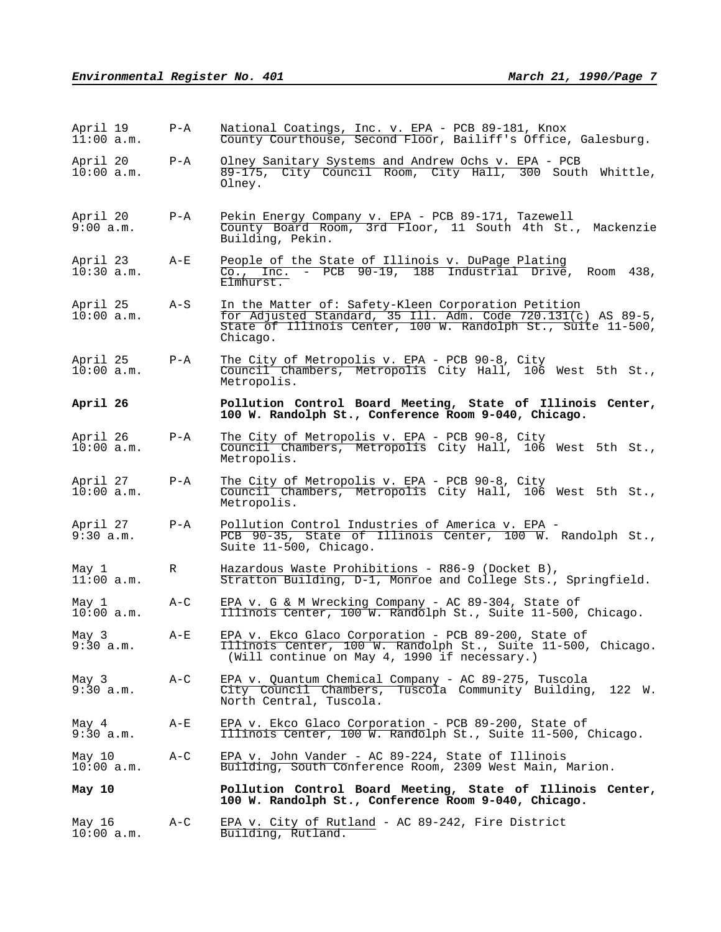| April 19<br>11:00 a.m.   | $P - A$ | National Coatings, Inc. v. EPA - PCB 89-181, Knox<br>County Courthouse, Second Floor, Bailiff's Office, Galesburg.                                                                              |
|--------------------------|---------|-------------------------------------------------------------------------------------------------------------------------------------------------------------------------------------------------|
| April 20<br>$10:00$ a.m. | $P - A$ | Olney Sanitary Systems and Andrew Ochs v. EPA - PCB<br>89-175, City Council Room, City Hall, 300 South Whittle,<br>Olney.                                                                       |
| April 20<br>9:00 a.m.    | $P - A$ | Pekin Energy Company v. EPA - PCB 89-171, Tazewell<br>County Board Room, 3rd Floor, 11 South 4th St., Mackenzie<br>Building, Pekin.                                                             |
| April 23<br>$10:30$ a.m. | A-E     | People of the State of Illinois v. DuPage Plating<br>Co., Inc. - PCB 90-19, 188 Industrial Drive, Room 438,<br>Elmhurst.                                                                        |
| April 25<br>10:00 a.m.   | A-S     | In the Matter of: Safety-Kleen Corporation Petition<br>for Adjusted Standard, 35 Ill. Adm. Code 720.131(c) AS 89-5,<br>State of Illinois Center, 100 W. Randolph St., Suite 11-500,<br>Chicago. |
| April 25<br>$10:00$ a.m. | $P - A$ | The City of Metropolis v. EPA - PCB 90-8, City<br>Council Chambers, Metropolis City Hall, 106 West 5th St.,<br>Metropolis.                                                                      |
| April 26                 |         | Pollution Control Board Meeting, State of Illinois Center,<br>100 W. Randolph St., Conference Room 9-040, Chicago.                                                                              |
| April 26<br>10:00 a.m.   | $P - A$ | The City of Metropolis v. EPA - PCB 90-8, City<br>Council Chambers, Metropolis City Hall, 106 West 5th St.,<br>Metropolis.                                                                      |
| April 27<br>$10:00$ a.m. | $P - A$ | The City of Metropolis v. EPA - PCB 90-8, City<br>Council Chambers, Metropolis City Hall, 106 West 5th St.,<br>Metropolis.                                                                      |
| April 27<br>9:30 a.m.    | $P - A$ | Pollution Control Industries of America v. EPA -<br>PCB 90-35, State of Illinois Center, 100 W. Randolph St.,<br>Suite 11-500, Chicago.                                                         |
| May 1<br>11:00 a.m.      | R       | Hazardous Waste Prohibitions - R86-9 (Docket B),<br>Stratton Building, D-1, Monroe and College Sts., Springfield.                                                                               |
| May 1<br>$10:00$ a.m.    | $A-C$   | EPA v. G & M Wrecking Company - AC 89-304, State of<br>Illinois Center, 100 W. Randolph St., Suite 11-500, Chicago.                                                                             |
| May 3<br>9:30 a.m.       | $A-E$   | EPA v. Ekco Glaco Corporation - PCB 89-200, State of<br>Illinois Center, 100 W. Randolph St., Suite 11-500, Chicago.<br>(Will continue on May 4, 1990 if necessary.)                            |
| May 3<br>9:30 a.m.       | A-C     | EPA v. Quantum Chemical Company - AC 89-275, Tuscola<br>City Council Chambers, Tuscola Community Building,<br>122 W.<br>North Central, Tuscola.                                                 |
| May 4<br>9:30 a.m.       | A-E     | EPA v. Ekco Glaco Corporation - PCB 89-200, State of<br>Illinois Center, 100 W. Randolph St., Suite 11-500, Chicago.                                                                            |
| May 10<br>$10:00$ a.m.   | $A-C$   | EPA v. John Vander - AC 89-224, State of Illinois<br>Building, South Conference Room, 2309 West Main, Marion.                                                                                   |
| May 10                   |         | Pollution Control Board Meeting, State of Illinois Center,<br>100 W. Randolph St., Conference Room 9-040, Chicago.                                                                              |
| May 16<br>$10:00$ a.m.   | A-C     | EPA v. City of Rutland - AC 89-242, Fire District<br>Building, Rutland.                                                                                                                         |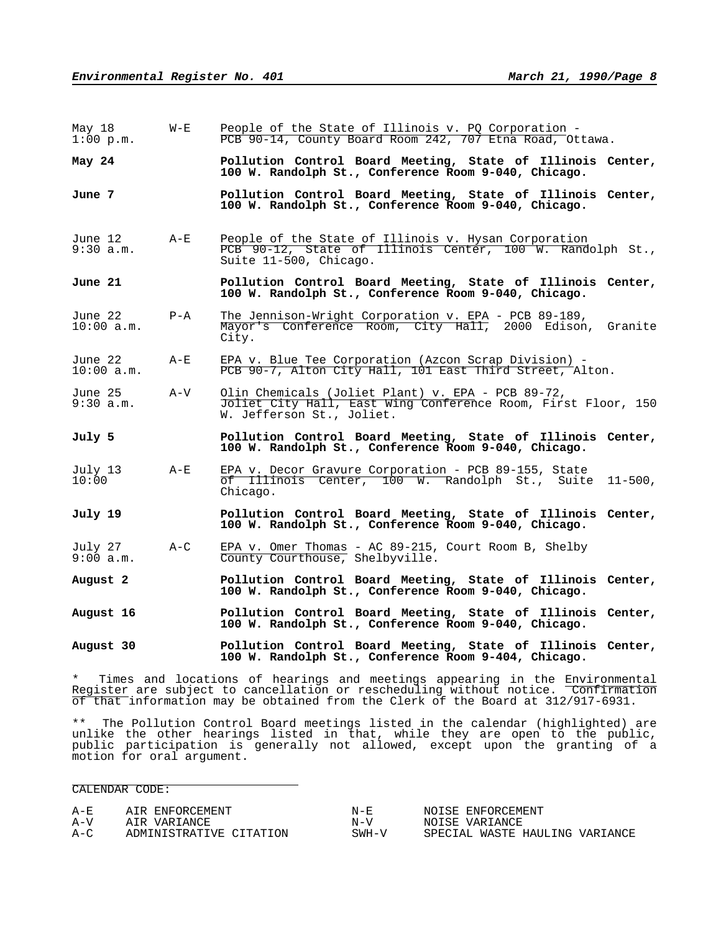| May 18<br>$1:00$ p.m.   | $W - E$ | People of the State of Illinois v. PQ Corporation -<br>PCB 90-14, County Board Room 242, 707 Etna Road, Ottawa.                                 |
|-------------------------|---------|-------------------------------------------------------------------------------------------------------------------------------------------------|
| May 24                  |         | Pollution Control Board Meeting, State of Illinois Center,<br>100 W. Randolph St., Conference Room 9-040, Chicago.                              |
| June 7                  |         | Pollution Control Board Meeting, State of Illinois Center,<br>100 W. Randolph St., Conference Room 9-040, Chicago.                              |
| June 12<br>$9:30$ a.m.  | $A-E$   | People of the State of Illinois v. Hysan Corporation<br>PCB 90-12, State of Illinois Center, 100 W. Randolph St.,<br>Suite 11-500, Chicago.     |
| June 21                 |         | Pollution Control Board Meeting, State of Illinois Center,<br>100 W. Randolph St., Conference Room 9-040, Chicago.                              |
| June 22<br>$10:00$ a.m. | $P - A$ | The Jennison-Wright Corporation v. EPA - PCB 89-189,<br>Mayor's Conference Room, City Hall, 2000 Edison,<br>Granite<br>City.                    |
| June 22<br>$10:00$ a.m. | $A-E$   | EPA v. Blue Tee Corporation (Azcon Scrap Division) -<br>PCB 90-7, Alton City Hall, 101 East Third Street, Alton.                                |
| June 25<br>9:30 a.m.    | A-V     | Olin Chemicals (Joliet Plant) v. EPA - PCB 89-72,<br>Joliet City Hall, East Wing Conference Room, First Floor, 150<br>W. Jefferson St., Joliet. |
| July 5                  |         | Pollution Control Board Meeting, State of Illinois Center,<br>100 W. Randolph St., Conference Room 9-040, Chicago.                              |
| July 13<br>10:00        | $A - E$ | EPA v. Decor Gravure Corporation - PCB 89-155, State<br>of Illinois Center, 100 W. Randolph St., Suite<br>$11 - 500$ ,<br>Chicago.              |
| July 19                 |         | Pollution Control Board Meeting, State of Illinois Center,<br>100 W. Randolph St., Conference Room 9-040, Chicago.                              |
| July 27<br>9:00 a.m.    | $A-C$   | EPA v. Omer Thomas - AC 89-215, Court Room B, Shelby<br>County Courthouse, Shelbyville.                                                         |
|                         |         |                                                                                                                                                 |
| August 2                |         | Pollution Control Board Meeting, State of Illinois Center,<br>100 W. Randolph St., Conference Room 9-040, Chicago.                              |
| August 16               |         | Pollution Control Board Meeting, State of Illinois Center,<br>100 W. Randolph St., Conference Room 9-040, Chicago.                              |
| August 30               |         | Pollution Control Board Meeting, State of Illinois Center,<br>100 W. Randolph St., Conference Room 9-404, Chicago.                              |

\*\* The Pollution Control Board meetings listed in the calendar (highlighted) are unlike the other hearings listed in that, while they are open to the public, public participation is generally not allowed, except upon the granting of a motion for oral argument.

CALENDAR CODE:

| $A - E$ | AIR ENFORCEMENT         | $N - F$ | NOISE ENFORCEMENT              |
|---------|-------------------------|---------|--------------------------------|
| $A-V$   | AIR VARIANCE            | $N - V$ | NOISE VARIANCE                 |
| $A-C$   | ADMINISTRATIVE CITATION | $SWH-V$ | SPECIAL WASTE HAULING VARIANCE |